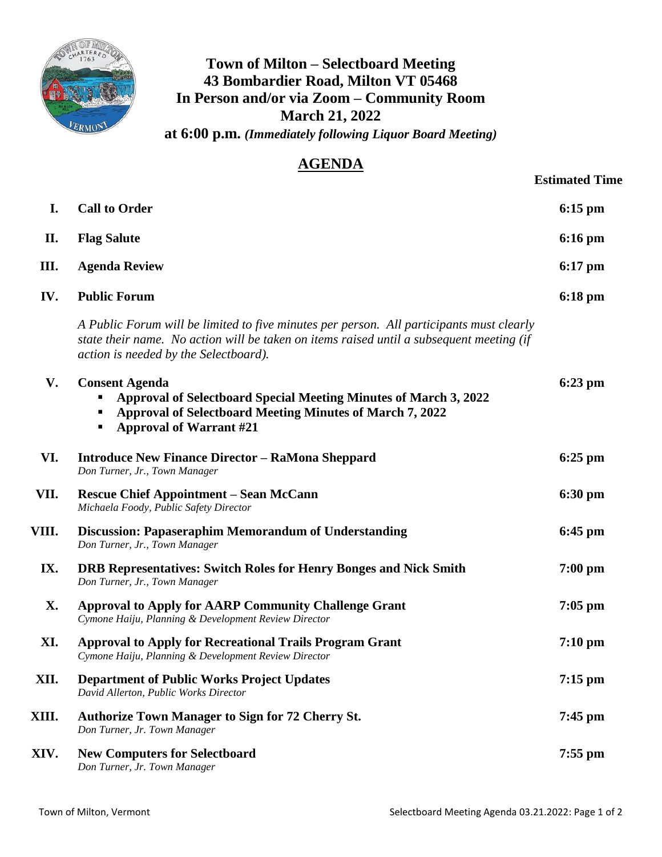

## **Town of Milton – Selectboard Meeting 43 Bombardier Road, Milton VT 05468 In Person and/or via Zoom – Community Room March 21, 2022 at 6:00 p.m.** *(Immediately following Liquor Board Meeting)*

## **AGENDA**

|           |                                                                                                                                                                                                                               | <b>Estimated Time</b> |
|-----------|-------------------------------------------------------------------------------------------------------------------------------------------------------------------------------------------------------------------------------|-----------------------|
| I.        | <b>Call to Order</b>                                                                                                                                                                                                          | $6:15$ pm             |
| П.        | <b>Flag Salute</b>                                                                                                                                                                                                            | $6:16 \text{ pm}$     |
| Ш.        | <b>Agenda Review</b>                                                                                                                                                                                                          | $6:17$ pm             |
| IV.       | <b>Public Forum</b>                                                                                                                                                                                                           | $6:18 \text{ pm}$     |
|           | A Public Forum will be limited to five minutes per person. All participants must clearly<br>state their name. No action will be taken on items raised until a subsequent meeting (if<br>action is needed by the Selectboard). |                       |
| V.        | <b>Consent Agenda</b><br><b>Approval of Selectboard Special Meeting Minutes of March 3, 2022</b><br><b>Approval of Selectboard Meeting Minutes of March 7, 2022</b><br><b>Approval of Warrant #21</b>                         | 6:23 pm               |
| VI.       | <b>Introduce New Finance Director – RaMona Sheppard</b><br>Don Turner, Jr., Town Manager                                                                                                                                      | $6:25$ pm             |
| VII.      | <b>Rescue Chief Appointment – Sean McCann</b><br>Michaela Foody, Public Safety Director                                                                                                                                       | $6:30 \text{ pm}$     |
| VIII.     | <b>Discussion: Papaseraphim Memorandum of Understanding</b><br>Don Turner, Jr., Town Manager                                                                                                                                  | $6:45$ pm             |
| IX.       | <b>DRB Representatives: Switch Roles for Henry Bonges and Nick Smith</b><br>Don Turner, Jr., Town Manager                                                                                                                     | $7:00$ pm             |
| <b>X.</b> | <b>Approval to Apply for AARP Community Challenge Grant</b><br>Cymone Haiju, Planning & Development Review Director                                                                                                           | $7:05$ pm             |
| XI.       | <b>Approval to Apply for Recreational Trails Program Grant</b><br>Cymone Haiju, Planning & Development Review Director                                                                                                        | $7:10 \text{ pm}$     |
| XII.      | <b>Department of Public Works Project Updates</b><br>David Allerton, Public Works Director                                                                                                                                    | $7:15$ pm             |
| XIII.     | <b>Authorize Town Manager to Sign for 72 Cherry St.</b><br>Don Turner, Jr. Town Manager                                                                                                                                       | $7:45$ pm             |
| XIV.      | <b>New Computers for Selectboard</b>                                                                                                                                                                                          | 7:55 pm               |

*Don Turner, Jr. Town Manager*